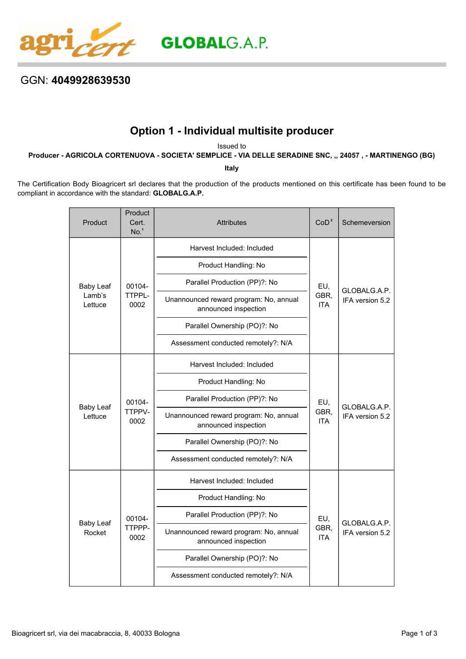

## GGN: **4049928639530**

## **Option 1 - Individual multisite producer**

Issued to

**Producer - AGRICOLA CORTENUOVA - SOCIETA' SEMPLICE - VIA DELLE SERADINE SNC, ,, 24057 , - MARTINENGO (BG)**

**Italy**

The Certification Body Bioagricert srl declares that the production of the products mentioned on this certificate has been found to be compliant in accordance with the standard: **GLOBALG.A.P.**

| Product                               | Product<br>Cert.<br>No. <sup>1</sup> | <b>Attributes</b>                                              | CoD <sup>2</sup>          | Schemeversion                   |
|---------------------------------------|--------------------------------------|----------------------------------------------------------------|---------------------------|---------------------------------|
| <b>Baby Leaf</b><br>Lamb's<br>Lettuce | 00104-<br>TTPPL-<br>0002             | Harvest Included: Included                                     | EU,<br>GBR,<br><b>ITA</b> | GLOBALG.A.P.<br>IFA version 5.2 |
|                                       |                                      | Product Handling: No                                           |                           |                                 |
|                                       |                                      | Parallel Production (PP)?: No                                  |                           |                                 |
|                                       |                                      | Unannounced reward program: No, annual<br>announced inspection |                           |                                 |
|                                       |                                      | Parallel Ownership (PO)?: No                                   |                           |                                 |
|                                       |                                      | Assessment conducted remotely?: N/A                            |                           |                                 |
|                                       | 00104-<br>TTPPV-<br>0002             | Harvest Included: Included                                     | EU,<br>GBR.<br><b>ITA</b> | GLOBALG.A.P.<br>IFA version 5.2 |
|                                       |                                      | Product Handling: No                                           |                           |                                 |
|                                       |                                      | Parallel Production (PP)?: No                                  |                           |                                 |
| <b>Baby Leaf</b><br>Lettuce           |                                      | Unannounced reward program: No, annual<br>announced inspection |                           |                                 |
|                                       |                                      | Parallel Ownership (PO)?: No                                   |                           |                                 |
|                                       |                                      | Assessment conducted remotely?: N/A                            |                           |                                 |
| <b>Baby Leaf</b><br>Rocket            | 00104-<br>TTPPP-<br>0002             | Harvest Included: Included                                     | EU,<br>GBR,<br>ITA        | GLOBALG.A.P.<br>IFA version 5.2 |
|                                       |                                      | Product Handling: No                                           |                           |                                 |
|                                       |                                      | Parallel Production (PP)?: No                                  |                           |                                 |
|                                       |                                      | Unannounced reward program: No, annual<br>announced inspection |                           |                                 |
|                                       |                                      | Parallel Ownership (PO)?: No                                   |                           |                                 |
|                                       |                                      | Assessment conducted remotely?: N/A                            |                           |                                 |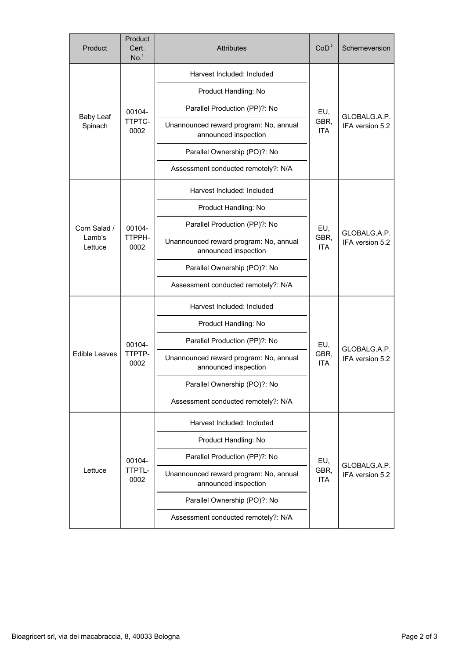| Product                           | Product<br>Cert.<br>No. <sup>1</sup> | <b>Attributes</b>                                              | CoD <sup>2</sup>                    | Schemeversion                   |
|-----------------------------------|--------------------------------------|----------------------------------------------------------------|-------------------------------------|---------------------------------|
| <b>Baby Leaf</b><br>Spinach       | 00104-<br>TTPTC-<br>0002             | Harvest Included: Included                                     | EU,<br>GBR,<br><b>ITA</b>           | GLOBALG.A.P.<br>IFA version 5.2 |
|                                   |                                      | Product Handling: No                                           |                                     |                                 |
|                                   |                                      | Parallel Production (PP)?: No                                  |                                     |                                 |
|                                   |                                      | Unannounced reward program: No, annual<br>announced inspection |                                     |                                 |
|                                   |                                      | Parallel Ownership (PO)?: No                                   |                                     |                                 |
|                                   |                                      | Assessment conducted remotely?: N/A                            |                                     |                                 |
|                                   | 00104-<br>TTPPH-<br>0002             | Harvest Included: Included                                     | EU,<br>GBR,<br><b>ITA</b>           | GLOBALG.A.P.<br>IFA version 5.2 |
|                                   |                                      | Product Handling: No                                           |                                     |                                 |
| Corn Salad /<br>Lamb's<br>Lettuce |                                      | Parallel Production (PP)?: No                                  |                                     |                                 |
|                                   |                                      | Unannounced reward program: No, annual<br>announced inspection |                                     |                                 |
|                                   |                                      | Parallel Ownership (PO)?: No                                   |                                     |                                 |
|                                   |                                      | Assessment conducted remotely?: N/A                            |                                     |                                 |
|                                   | 00104-<br>TTPTP-<br>0002             | Harvest Included: Included                                     | EU,<br>GBR,<br><b>ITA</b>           | GLOBALG.A.P.<br>IFA version 5.2 |
|                                   |                                      | Product Handling: No                                           |                                     |                                 |
|                                   |                                      | Parallel Production (PP)?: No                                  |                                     |                                 |
| <b>Edible Leaves</b>              |                                      | Unannounced reward program: No, annual<br>announced inspection |                                     |                                 |
|                                   |                                      | Parallel Ownership (PO)?: No                                   |                                     |                                 |
|                                   |                                      | Assessment conducted remotely?: N/A                            |                                     |                                 |
| Lettuce                           | 00104-<br>TTPTL-<br>0002             | Harvest Included: Included                                     | EU,<br>GBR,<br><b>ITA</b>           | GLOBALG.A.P.<br>IFA version 5.2 |
|                                   |                                      | Product Handling: No                                           |                                     |                                 |
|                                   |                                      | Parallel Production (PP)?: No                                  |                                     |                                 |
|                                   |                                      | Unannounced reward program: No, annual<br>announced inspection |                                     |                                 |
|                                   |                                      | Parallel Ownership (PO)?: No                                   |                                     |                                 |
|                                   |                                      |                                                                | Assessment conducted remotely?: N/A |                                 |